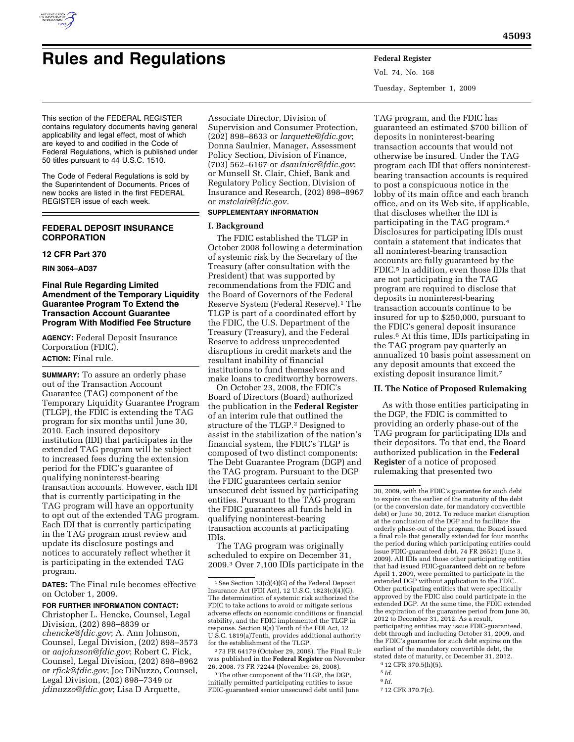

# **Rules and Regulations Federal Register**

Vol. 74, No. 168 Tuesday, September 1, 2009

This section of the FEDERAL REGISTER contains regulatory documents having general applicability and legal effect, most of which are keyed to and codified in the Code of Federal Regulations, which is published under 50 titles pursuant to 44 U.S.C. 1510.

The Code of Federal Regulations is sold by the Superintendent of Documents. Prices of new books are listed in the first FEDERAL REGISTER issue of each week.

# **FEDERAL DEPOSIT INSURANCE CORPORATION**

# **12 CFR Part 370**

**RIN 3064–AD37** 

# **Final Rule Regarding Limited Amendment of the Temporary Liquidity Guarantee Program To Extend the Transaction Account Guarantee Program With Modified Fee Structure**

**AGENCY:** Federal Deposit Insurance Corporation (FDIC). **ACTION:** Final rule.

**SUMMARY:** To assure an orderly phase out of the Transaction Account Guarantee (TAG) component of the Temporary Liquidity Guarantee Program (TLGP), the FDIC is extending the TAG program for six months until June 30, 2010. Each insured depository institution (IDI) that participates in the extended TAG program will be subject to increased fees during the extension period for the FDIC's guarantee of qualifying noninterest-bearing transaction accounts. However, each IDI that is currently participating in the TAG program will have an opportunity to opt out of the extended TAG program. Each IDI that is currently participating in the TAG program must review and update its disclosure postings and notices to accurately reflect whether it is participating in the extended TAG program.

**DATES:** The Final rule becomes effective on October 1, 2009.

**FOR FURTHER INFORMATION CONTACT:**  Christopher L. Hencke, Counsel, Legal

Division, (202) 898–8839 or *chencke@fdic.gov*; A. Ann Johnson, Counsel, Legal Division, (202) 898–3573 or *aajohnson@fdic.gov*; Robert C. Fick, Counsel, Legal Division, (202) 898–8962 or *rfick@fdic.gov*; Joe DiNuzzo, Counsel, Legal Division, (202) 898–7349 or *jdinuzzo@fdic.gov*; Lisa D Arquette,

Associate Director, Division of Supervision and Consumer Protection, (202) 898–8633 or *larquette@fdic.gov*; Donna Saulnier, Manager, Assessment Policy Section, Division of Finance, (703) 562–6167 or *dsaulnier@fdic.gov*; or Munsell St. Clair, Chief, Bank and Regulatory Policy Section, Division of Insurance and Research, (202) 898–8967 or *mstclair@fdic.gov.* 

# **SUPPLEMENTARY INFORMATION**

# **I. Background**

The FDIC established the TLGP in October 2008 following a determination of systemic risk by the Secretary of the Treasury (after consultation with the President) that was supported by recommendations from the FDIC and the Board of Governors of the Federal Reserve System (Federal Reserve).1 The TLGP is part of a coordinated effort by the FDIC, the U.S. Department of the Treasury (Treasury), and the Federal Reserve to address unprecedented disruptions in credit markets and the resultant inability of financial institutions to fund themselves and make loans to creditworthy borrowers.

On October 23, 2008, the FDIC's Board of Directors (Board) authorized the publication in the **Federal Register**  of an interim rule that outlined the structure of the TLGP.2 Designed to assist in the stabilization of the nation's financial system, the FDIC's TLGP is composed of two distinct components: The Debt Guarantee Program (DGP) and the TAG program. Pursuant to the DGP the FDIC guarantees certain senior unsecured debt issued by participating entities. Pursuant to the TAG program the FDIC guarantees all funds held in qualifying noninterest-bearing transaction accounts at participating IDIs.

The TAG program was originally scheduled to expire on December 31, 2009.3 Over 7,100 IDIs participate in the

2 73 FR 64179 (October 29, 2008). The Final Rule was published in the **Federal Register** on November 26, 2008. 73 FR 72244 (November 26, 2008).

<sup>3</sup>The other component of the TLGP, the DGP, initially permitted participating entities to issue FDIC-guaranteed senior unsecured debt until June

TAG program, and the FDIC has guaranteed an estimated \$700 billion of deposits in noninterest-bearing transaction accounts that would not otherwise be insured. Under the TAG program each IDI that offers noninterestbearing transaction accounts is required to post a conspicuous notice in the lobby of its main office and each branch office, and on its Web site, if applicable, that discloses whether the IDI is participating in the TAG program.4 Disclosures for participating IDIs must contain a statement that indicates that all noninterest-bearing transaction accounts are fully guaranteed by the FDIC.5 In addition, even those IDIs that are not participating in the TAG program are required to disclose that deposits in noninterest-bearing transaction accounts continue to be insured for up to \$250,000, pursuant to the FDIC's general deposit insurance rules.6 At this time, IDIs participating in the TAG program pay quarterly an annualized 10 basis point assessment on any deposit amounts that exceed the existing deposit insurance limit.7

# **II. The Notice of Proposed Rulemaking**

As with those entities participating in the DGP, the FDIC is committed to providing an orderly phase-out of the TAG program for participating IDIs and their depositors. To that end, the Board authorized publication in the **Federal Register** of a notice of proposed rulemaking that presented two

5 *Id.* 

7 12 CFR 370.7(c).

<sup>1</sup>See Section 13(c)(4)(G) of the Federal Deposit Insurance Act (FDI Act), 12 U.S.C. 1823(c)(4)(G). The determination of systemic risk authorized the FDIC to take actions to avoid or mitigate serious adverse effects on economic conditions or financial stability, and the FDIC implemented the TLGP in response. Section 9(a) Tenth of the FDI Act, 12 U.S.C. 1819(a)Tenth, provides additional authority for the establishment of the TLGP.

<sup>30, 2009,</sup> with the FDIC's guarantee for such debt to expire on the earlier of the maturity of the debt (or the conversion date, for mandatory convertible debt) or June 30, 2012. To reduce market disruption at the conclusion of the DGP and to facilitate the orderly phase-out of the program, the Board issued a final rule that generally extended for four months the period during which participating entities could issue FDIC-guaranteed debt. 74 FR 26521 (June 3, 2009). All IDIs and those other participating entities that had issued FDIC-guaranteed debt on or before April 1, 2009, were permitted to participate in the extended DGP without application to the FDIC. Other participating entities that were specifically approved by the FDIC also could participate in the extended DGP. At the same time, the FDIC extended the expiration of the guarantee period from June 30, 2012 to December 31, 2012. As a result, participating entities may issue FDIC-guaranteed, debt through and including October 31, 2009, and the FDIC's guarantee for such debt expires on the earliest of the mandatory convertible debt, the stated date of maturity, or December 31, 2012.

<sup>4</sup> 12 CFR 370.5(h)(5).

<sup>6</sup> *Id.*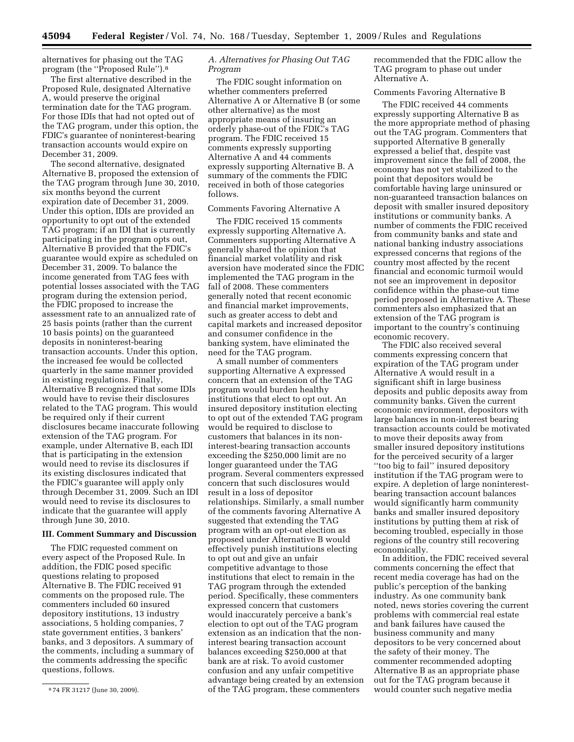alternatives for phasing out the TAG program (the ''Proposed Rule'').8

The first alternative described in the Proposed Rule, designated Alternative A, would preserve the original termination date for the TAG program. For those IDIs that had not opted out of the TAG program, under this option, the FDIC's guarantee of noninterest-bearing transaction accounts would expire on December 31, 2009.

The second alternative, designated Alternative B, proposed the extension of the TAG program through June 30, 2010, six months beyond the current expiration date of December 31, 2009. Under this option, IDIs are provided an opportunity to opt out of the extended TAG program; if an IDI that is currently participating in the program opts out, Alternative B provided that the FDIC's guarantee would expire as scheduled on December 31, 2009. To balance the income generated from TAG fees with potential losses associated with the TAG program during the extension period, the FDIC proposed to increase the assessment rate to an annualized rate of 25 basis points (rather than the current 10 basis points) on the guaranteed deposits in noninterest-bearing transaction accounts. Under this option, the increased fee would be collected quarterly in the same manner provided in existing regulations. Finally, Alternative B recognized that some IDIs would have to revise their disclosures related to the TAG program. This would be required only if their current disclosures became inaccurate following extension of the TAG program. For example, under Alternative B, each IDI that is participating in the extension would need to revise its disclosures if its existing disclosures indicated that the FDIC's guarantee will apply only through December 31, 2009. Such an IDI would need to revise its disclosures to indicate that the guarantee will apply through June 30, 2010.

# **III. Comment Summary and Discussion**

The FDIC requested comment on every aspect of the Proposed Rule. In addition, the FDIC posed specific questions relating to proposed Alternative B. The FDIC received 91 comments on the proposed rule. The commenters included 60 insured depository institutions, 13 industry associations, 5 holding companies, 7 state government entities, 3 bankers' banks, and 3 depositors. A summary of the comments, including a summary of the comments addressing the specific questions, follows.

# *A. Alternatives for Phasing Out TAG Program*

The FDIC sought information on whether commenters preferred Alternative A or Alternative B (or some other alternative) as the most appropriate means of insuring an orderly phase-out of the FDIC's TAG program. The FDIC received 15 comments expressly supporting Alternative A and 44 comments expressly supporting Alternative B. A summary of the comments the FDIC received in both of those categories follows.

### Comments Favoring Alternative A

The FDIC received 15 comments expressly supporting Alternative A. Commenters supporting Alternative A generally shared the opinion that financial market volatility and risk aversion have moderated since the FDIC implemented the TAG program in the fall of 2008. These commenters generally noted that recent economic and financial market improvements, such as greater access to debt and capital markets and increased depositor and consumer confidence in the banking system, have eliminated the need for the TAG program.

A small number of commenters supporting Alternative A expressed concern that an extension of the TAG program would burden healthy institutions that elect to opt out. An insured depository institution electing to opt out of the extended TAG program would be required to disclose to customers that balances in its noninterest-bearing transaction accounts exceeding the \$250,000 limit are no longer guaranteed under the TAG program. Several commenters expressed concern that such disclosures would result in a loss of depositor relationships. Similarly, a small number of the comments favoring Alternative A suggested that extending the TAG program with an opt-out election as proposed under Alternative B would effectively punish institutions electing to opt out and give an unfair competitive advantage to those institutions that elect to remain in the TAG program through the extended period. Specifically, these commenters expressed concern that customers would inaccurately perceive a bank's election to opt out of the TAG program extension as an indication that the noninterest bearing transaction account balances exceeding \$250,000 at that bank are at risk. To avoid customer confusion and any unfair competitive advantage being created by an extension of the TAG program, these commenters

recommended that the FDIC allow the TAG program to phase out under Alternative A.

# Comments Favoring Alternative B

The FDIC received 44 comments expressly supporting Alternative B as the more appropriate method of phasing out the TAG program. Commenters that supported Alternative B generally expressed a belief that, despite vast improvement since the fall of 2008, the economy has not yet stabilized to the point that depositors would be comfortable having large uninsured or non-guaranteed transaction balances on deposit with smaller insured depository institutions or community banks. A number of comments the FDIC received from community banks and state and national banking industry associations expressed concerns that regions of the country most affected by the recent financial and economic turmoil would not see an improvement in depositor confidence within the phase-out time period proposed in Alternative A. These commenters also emphasized that an extension of the TAG program is important to the country's continuing economic recovery.

The FDIC also received several comments expressing concern that expiration of the TAG program under Alternative A would result in a significant shift in large business deposits and public deposits away from community banks. Given the current economic environment, depositors with large balances in non-interest bearing transaction accounts could be motivated to move their deposits away from smaller insured depository institutions for the perceived security of a larger ''too big to fail'' insured depository institution if the TAG program were to expire. A depletion of large noninterestbearing transaction account balances would significantly harm community banks and smaller insured depository institutions by putting them at risk of becoming troubled, especially in those regions of the country still recovering economically.

In addition, the FDIC received several comments concerning the effect that recent media coverage has had on the public's perception of the banking industry. As one community bank noted, news stories covering the current problems with commercial real estate and bank failures have caused the business community and many depositors to be very concerned about the safety of their money. The commenter recommended adopting Alternative B as an appropriate phase out for the TAG program because it would counter such negative media

<sup>8</sup> 74 FR 31217 (June 30, 2009).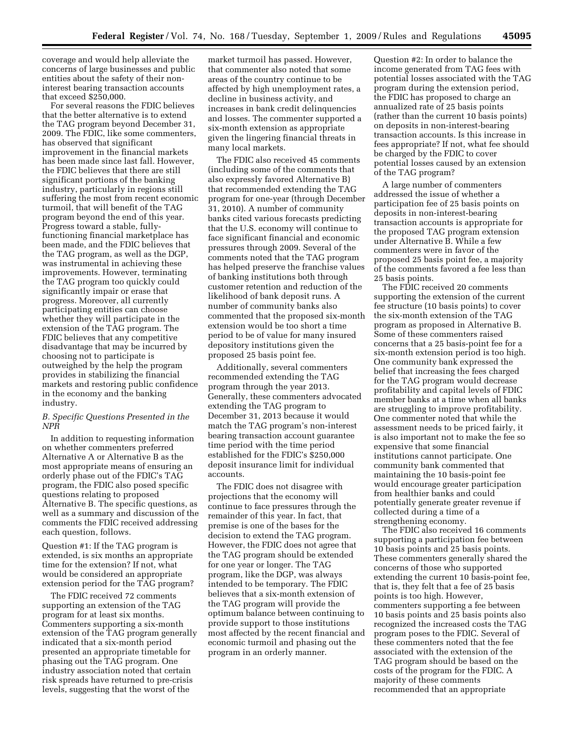coverage and would help alleviate the concerns of large businesses and public entities about the safety of their noninterest bearing transaction accounts that exceed \$250,000.

For several reasons the FDIC believes that the better alternative is to extend the TAG program beyond December 31, 2009. The FDIC, like some commenters, has observed that significant improvement in the financial markets has been made since last fall. However, the FDIC believes that there are still significant portions of the banking industry, particularly in regions still suffering the most from recent economic turmoil, that will benefit of the TAG program beyond the end of this year. Progress toward a stable, fullyfunctioning financial marketplace has been made, and the FDIC believes that the TAG program, as well as the DGP, was instrumental in achieving these improvements. However, terminating the TAG program too quickly could significantly impair or erase that progress. Moreover, all currently participating entities can choose whether they will participate in the extension of the TAG program. The FDIC believes that any competitive disadvantage that may be incurred by choosing not to participate is outweighed by the help the program provides in stabilizing the financial markets and restoring public confidence in the economy and the banking industry.

# *B. Specific Questions Presented in the NPR*

In addition to requesting information on whether commenters preferred Alternative A or Alternative B as the most appropriate means of ensuring an orderly phase out of the FDIC's TAG program, the FDIC also posed specific questions relating to proposed Alternative B. The specific questions, as well as a summary and discussion of the comments the FDIC received addressing each question, follows.

Question #1: If the TAG program is extended, is six months an appropriate time for the extension? If not, what would be considered an appropriate extension period for the TAG program?

The FDIC received 72 comments supporting an extension of the TAG program for at least six months. Commenters supporting a six-month extension of the TAG program generally indicated that a six-month period presented an appropriate timetable for phasing out the TAG program. One industry association noted that certain risk spreads have returned to pre-crisis levels, suggesting that the worst of the

market turmoil has passed. However, that commenter also noted that some areas of the country continue to be affected by high unemployment rates, a decline in business activity, and increases in bank credit delinquencies and losses. The commenter supported a six-month extension as appropriate given the lingering financial threats in many local markets.

The FDIC also received 45 comments (including some of the comments that also expressly favored Alternative B) that recommended extending the TAG program for one-year (through December 31, 2010). A number of community banks cited various forecasts predicting that the U.S. economy will continue to face significant financial and economic pressures through 2009. Several of the comments noted that the TAG program has helped preserve the franchise values of banking institutions both through customer retention and reduction of the likelihood of bank deposit runs. A number of community banks also commented that the proposed six-month extension would be too short a time period to be of value for many insured depository institutions given the proposed 25 basis point fee.

Additionally, several commenters recommended extending the TAG program through the year 2013. Generally, these commenters advocated extending the TAG program to December 31, 2013 because it would match the TAG program's non-interest bearing transaction account guarantee time period with the time period established for the FDIC's \$250,000 deposit insurance limit for individual accounts.

The FDIC does not disagree with projections that the economy will continue to face pressures through the remainder of this year. In fact, that premise is one of the bases for the decision to extend the TAG program. However, the FDIC does not agree that the TAG program should be extended for one year or longer. The TAG program, like the DGP, was always intended to be temporary. The FDIC believes that a six-month extension of the TAG program will provide the optimum balance between continuing to provide support to those institutions most affected by the recent financial and economic turmoil and phasing out the program in an orderly manner.

Question #2: In order to balance the income generated from TAG fees with potential losses associated with the TAG program during the extension period, the FDIC has proposed to charge an annualized rate of 25 basis points (rather than the current 10 basis points) on deposits in non-interest-bearing transaction accounts. Is this increase in fees appropriate? If not, what fee should be charged by the FDIC to cover potential losses caused by an extension of the TAG program?

A large number of commenters addressed the issue of whether a participation fee of 25 basis points on deposits in non-interest-bearing transaction accounts is appropriate for the proposed TAG program extension under Alternative B. While a few commenters were in favor of the proposed 25 basis point fee, a majority of the comments favored a fee less than 25 basis points.

The FDIC received 20 comments supporting the extension of the current fee structure (10 basis points) to cover the six-month extension of the TAG program as proposed in Alternative B. Some of these commenters raised concerns that a 25 basis-point fee for a six-month extension period is too high. One community bank expressed the belief that increasing the fees charged for the TAG program would decrease profitability and capital levels of FDIC member banks at a time when all banks are struggling to improve profitability. One commenter noted that while the assessment needs to be priced fairly, it is also important not to make the fee so expensive that some financial institutions cannot participate. One community bank commented that maintaining the 10 basis-point fee would encourage greater participation from healthier banks and could potentially generate greater revenue if collected during a time of a strengthening economy.

The FDIC also received 16 comments supporting a participation fee between 10 basis points and 25 basis points. These commenters generally shared the concerns of those who supported extending the current 10 basis-point fee, that is, they felt that a fee of 25 basis points is too high. However, commenters supporting a fee between 10 basis points and 25 basis points also recognized the increased costs the TAG program poses to the FDIC. Several of these commenters noted that the fee associated with the extension of the TAG program should be based on the costs of the program for the FDIC. A majority of these comments recommended that an appropriate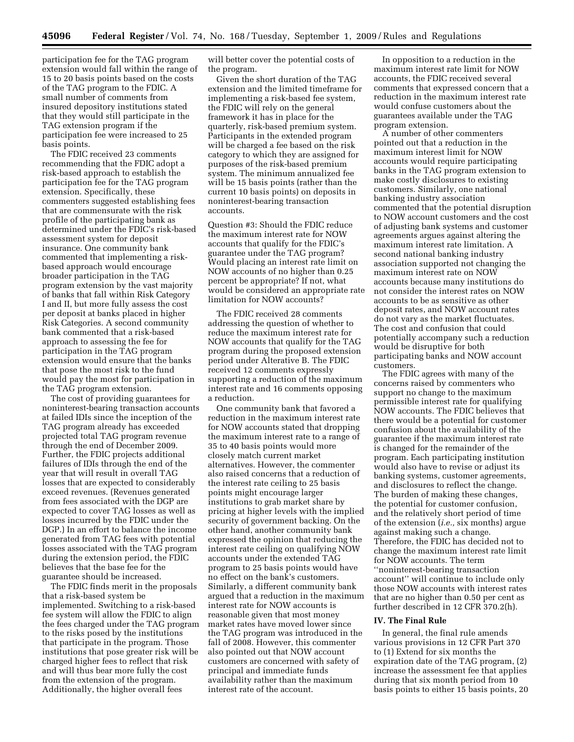participation fee for the TAG program extension would fall within the range of 15 to 20 basis points based on the costs of the TAG program to the FDIC. A small number of comments from insured depository institutions stated that they would still participate in the TAG extension program if the participation fee were increased to 25 basis points.

The FDIC received 23 comments recommending that the FDIC adopt a risk-based approach to establish the participation fee for the TAG program extension. Specifically, these commenters suggested establishing fees that are commensurate with the risk profile of the participating bank as determined under the FDIC's risk-based assessment system for deposit insurance. One community bank commented that implementing a riskbased approach would encourage broader participation in the TAG program extension by the vast majority of banks that fall within Risk Category I and II, but more fully assess the cost per deposit at banks placed in higher Risk Categories. A second community bank commented that a risk-based approach to assessing the fee for participation in the TAG program extension would ensure that the banks that pose the most risk to the fund would pay the most for participation in the TAG program extension.

The cost of providing guarantees for noninterest-bearing transaction accounts at failed IDIs since the inception of the TAG program already has exceeded projected total TAG program revenue through the end of December 2009. Further, the FDIC projects additional failures of IDIs through the end of the year that will result in overall TAG losses that are expected to considerably exceed revenues. (Revenues generated from fees associated with the DGP are expected to cover TAG losses as well as losses incurred by the FDIC under the DGP.) In an effort to balance the income generated from TAG fees with potential losses associated with the TAG program during the extension period, the FDIC believes that the base fee for the guarantee should be increased.

The FDIC finds merit in the proposals that a risk-based system be implemented. Switching to a risk-based fee system will allow the FDIC to align the fees charged under the TAG program to the risks posed by the institutions that participate in the program. Those institutions that pose greater risk will be charged higher fees to reflect that risk and will thus bear more fully the cost from the extension of the program. Additionally, the higher overall fees

will better cover the potential costs of the program.

Given the short duration of the TAG extension and the limited timeframe for implementing a risk-based fee system, the FDIC will rely on the general framework it has in place for the quarterly, risk-based premium system. Participants in the extended program will be charged a fee based on the risk category to which they are assigned for purposes of the risk-based premium system. The minimum annualized fee will be 15 basis points (rather than the current 10 basis points) on deposits in noninterest-bearing transaction accounts.

Question #3: Should the FDIC reduce the maximum interest rate for NOW accounts that qualify for the FDIC's guarantee under the TAG program? Would placing an interest rate limit on NOW accounts of no higher than 0.25 percent be appropriate? If not, what would be considered an appropriate rate limitation for NOW accounts?

The FDIC received 28 comments addressing the question of whether to reduce the maximum interest rate for NOW accounts that qualify for the TAG program during the proposed extension period under Alterative B. The FDIC received 12 comments expressly supporting a reduction of the maximum interest rate and 16 comments opposing a reduction.

One community bank that favored a reduction in the maximum interest rate for NOW accounts stated that dropping the maximum interest rate to a range of 35 to 40 basis points would more closely match current market alternatives. However, the commenter also raised concerns that a reduction of the interest rate ceiling to 25 basis points might encourage larger institutions to grab market share by pricing at higher levels with the implied security of government backing. On the other hand, another community bank expressed the opinion that reducing the interest rate ceiling on qualifying NOW accounts under the extended TAG program to 25 basis points would have no effect on the bank's customers. Similarly, a different community bank argued that a reduction in the maximum interest rate for NOW accounts is reasonable given that most money market rates have moved lower since the TAG program was introduced in the fall of 2008. However, this commenter also pointed out that NOW account customers are concerned with safety of principal and immediate funds availability rather than the maximum interest rate of the account.

In opposition to a reduction in the maximum interest rate limit for NOW accounts, the FDIC received several comments that expressed concern that a reduction in the maximum interest rate would confuse customers about the guarantees available under the TAG program extension.

A number of other commenters pointed out that a reduction in the maximum interest limit for NOW accounts would require participating banks in the TAG program extension to make costly disclosures to existing customers. Similarly, one national banking industry association commented that the potential disruption to NOW account customers and the cost of adjusting bank systems and customer agreements argues against altering the maximum interest rate limitation. A second national banking industry association supported not changing the maximum interest rate on NOW accounts because many institutions do not consider the interest rates on NOW accounts to be as sensitive as other deposit rates, and NOW account rates do not vary as the market fluctuates. The cost and confusion that could potentially accompany such a reduction would be disruptive for both participating banks and NOW account customers.

The FDIC agrees with many of the concerns raised by commenters who support no change to the maximum permissible interest rate for qualifying NOW accounts. The FDIC believes that there would be a potential for customer confusion about the availability of the guarantee if the maximum interest rate is changed for the remainder of the program. Each participating institution would also have to revise or adjust its banking systems, customer agreements, and disclosures to reflect the change. The burden of making these changes, the potential for customer confusion, and the relatively short period of time of the extension (*i.e.,* six months) argue against making such a change. Therefore, the FDIC has decided not to change the maximum interest rate limit for NOW accounts. The term ''noninterest-bearing transaction account'' will continue to include only those NOW accounts with interest rates that are no higher than 0.50 per cent as further described in 12 CFR 370.2(h).

# **IV. The Final Rule**

In general, the final rule amends various provisions in 12 CFR Part 370 to (1) Extend for six months the expiration date of the TAG program, (2) increase the assessment fee that applies during that six month period from 10 basis points to either 15 basis points, 20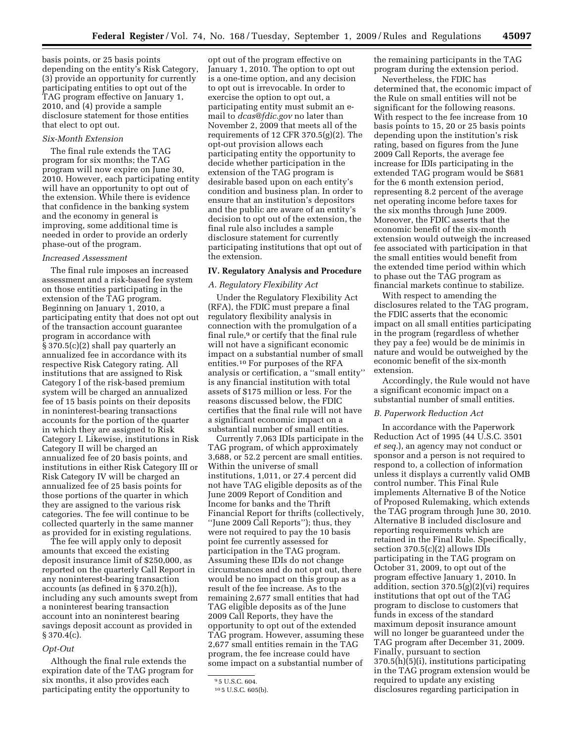basis points, or 25 basis points depending on the entity's Risk Category, (3) provide an opportunity for currently participating entities to opt out of the TAG program effective on January 1, 2010, and (4) provide a sample disclosure statement for those entities that elect to opt out.

# *Six-Month Extension*

The final rule extends the TAG program for six months; the TAG program will now expire on June 30, 2010. However, each participating entity will have an opportunity to opt out of the extension. While there is evidence that confidence in the banking system and the economy in general is improving, some additional time is needed in order to provide an orderly phase-out of the program.

# *Increased Assessment*

The final rule imposes an increased assessment and a risk-based fee system on those entities participating in the extension of the TAG program. Beginning on January 1, 2010, a participating entity that does not opt out of the transaction account guarantee program in accordance with § 370.5(c)(2) shall pay quarterly an annualized fee in accordance with its respective Risk Category rating. All institutions that are assigned to Risk Category I of the risk-based premium system will be charged an annualized fee of 15 basis points on their deposits in noninterest-bearing transactions accounts for the portion of the quarter in which they are assigned to Risk Category I. Likewise, institutions in Risk Category II will be charged an annualized fee of 20 basis points, and institutions in either Risk Category III or Risk Category IV will be charged an annualized fee of 25 basis points for those portions of the quarter in which they are assigned to the various risk categories. The fee will continue to be collected quarterly in the same manner as provided for in existing regulations.

The fee will apply only to deposit amounts that exceed the existing deposit insurance limit of \$250,000, as reported on the quarterly Call Report in any noninterest-bearing transaction accounts (as defined in § 370.2(h)), including any such amounts swept from a noninterest bearing transaction account into an noninterest bearing savings deposit account as provided in  $§ 370.4(c).$ 

#### *Opt-Out*

Although the final rule extends the expiration date of the TAG program for six months, it also provides each participating entity the opportunity to

opt out of the program effective on January 1, 2010. The option to opt out is a one-time option, and any decision to opt out is irrevocable. In order to exercise the option to opt out, a participating entity must submit an email to *dcas@fdic.gov* no later than November 2, 2009 that meets all of the requirements of 12 CFR 370.5(g)(2). The opt-out provision allows each participating entity the opportunity to decide whether participation in the extension of the TAG program is desirable based upon on each entity's condition and business plan. In order to ensure that an institution's depositors and the public are aware of an entity's decision to opt out of the extension, the final rule also includes a sample disclosure statement for currently participating institutions that opt out of the extension.

## **IV. Regulatory Analysis and Procedure**

# *A. Regulatory Flexibility Act*

Under the Regulatory Flexibility Act (RFA), the FDIC must prepare a final regulatory flexibility analysis in connection with the promulgation of a final rule,<sup>9</sup> or certify that the final rule will not have a significant economic impact on a substantial number of small entities.10 For purposes of the RFA analysis or certification, a ''small entity'' is any financial institution with total assets of \$175 million or less. For the reasons discussed below, the FDIC certifies that the final rule will not have a significant economic impact on a substantial number of small entities.

Currently 7,063 IDIs participate in the TAG program, of which approximately 3,688, or 52.2 percent are small entities. Within the universe of small institutions, 1,011, or 27.4 percent did not have TAG eligible deposits as of the June 2009 Report of Condition and Income for banks and the Thrift Financial Report for thrifts (collectively, ''June 2009 Call Reports''); thus, they were not required to pay the 10 basis point fee currently assessed for participation in the TAG program. Assuming these IDIs do not change circumstances and do not opt out, there would be no impact on this group as a result of the fee increase. As to the remaining 2,677 small entities that had TAG eligible deposits as of the June 2009 Call Reports, they have the opportunity to opt out of the extended TAG program. However, assuming these 2,677 small entities remain in the TAG program, the fee increase could have some impact on a substantial number of the remaining participants in the TAG program during the extension period.

Nevertheless, the FDIC has determined that, the economic impact of the Rule on small entities will not be significant for the following reasons. With respect to the fee increase from 10 basis points to 15, 20 or 25 basis points depending upon the institution's risk rating, based on figures from the June 2009 Call Reports, the average fee increase for IDIs participating in the extended TAG program would be \$681 for the 6 month extension period, representing 8.2 percent of the average net operating income before taxes for the six months through June 2009. Moreover, the FDIC asserts that the economic benefit of the six-month extension would outweigh the increased fee associated with participation in that the small entities would benefit from the extended time period within which to phase out the TAG program as financial markets continue to stabilize.

With respect to amending the disclosures related to the TAG program, the FDIC asserts that the economic impact on all small entities participating in the program (regardless of whether they pay a fee) would be de minimis in nature and would be outweighed by the economic benefit of the six-month extension.

Accordingly, the Rule would not have a significant economic impact on a substantial number of small entities.

# *B. Paperwork Reduction Act*

In accordance with the Paperwork Reduction Act of 1995 (44 U.S.C. 3501 *et seq.*), an agency may not conduct or sponsor and a person is not required to respond to, a collection of information unless it displays a currently valid OMB control number. This Final Rule implements Alternative B of the Notice of Proposed Rulemaking, which extends the TAG program through June 30, 2010. Alternative B included disclosure and reporting requirements which are retained in the Final Rule. Specifically, section 370.5(c)(2) allows IDIs participating in the TAG program on October 31, 2009, to opt out of the program effective January 1, 2010. In addition, section 370.5(g)(2)(vi) requires institutions that opt out of the TAG program to disclose to customers that funds in excess of the standard maximum deposit insurance amount will no longer be guaranteed under the TAG program after December 31, 2009. Finally, pursuant to section 370.5(h)(5)(i), institutions participating in the TAG program extension would be required to update any existing disclosures regarding participation in

<sup>9</sup> 5 U.S.C. 604.

<sup>10</sup> 5 U.S.C. 605(b).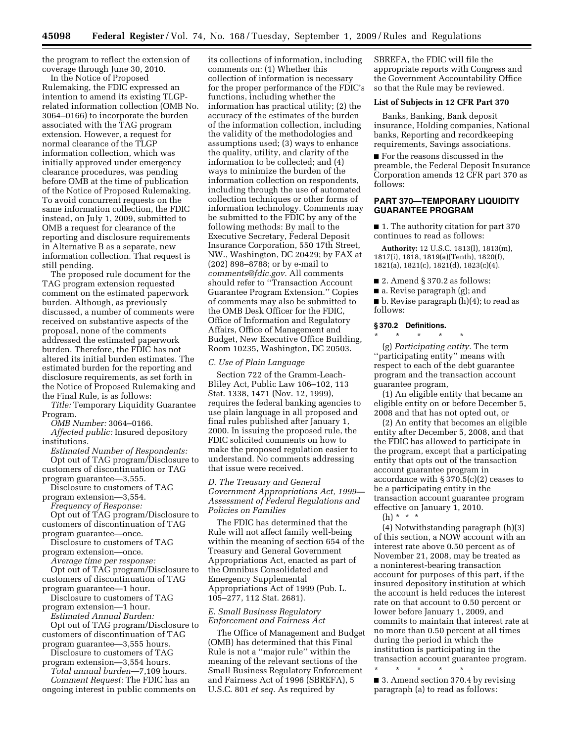the program to reflect the extension of coverage through June 30, 2010.

In the Notice of Proposed Rulemaking, the FDIC expressed an intention to amend its existing TLGPrelated information collection (OMB No. 3064–0166) to incorporate the burden associated with the TAG program extension. However, a request for normal clearance of the TLGP information collection, which was initially approved under emergency clearance procedures, was pending before OMB at the time of publication of the Notice of Proposed Rulemaking. To avoid concurrent requests on the same information collection, the FDIC instead, on July 1, 2009, submitted to OMB a request for clearance of the reporting and disclosure requirements in Alternative B as a separate, new information collection. That request is still pending.

The proposed rule document for the TAG program extension requested comment on the estimated paperwork burden. Although, as previously discussed, a number of comments were received on substantive aspects of the proposal, none of the comments addressed the estimated paperwork burden. Therefore, the FDIC has not altered its initial burden estimates. The estimated burden for the reporting and disclosure requirements, as set forth in the Notice of Proposed Rulemaking and the Final Rule, is as follows:

*Title:* Temporary Liquidity Guarantee Program.

*OMB Number:* 3064–0166.

*Affected public:* Insured depository institutions.

*Estimated Number of Respondents:*  Opt out of TAG program/Disclosure to customers of discontinuation or TAG program guarantee—3,555.

Disclosure to customers of TAG program extension—3,554.

*Frequency of Response:* 

Opt out of TAG program/Disclosure to customers of discontinuation of TAG program guarantee—once.

Disclosure to customers of TAG program extension—once.

*Average time per response:*  Opt out of TAG program/Disclosure to

customers of discontinuation of TAG program guarantee—1 hour. Disclosure to customers of TAG

program extension—1 hour. *Estimated Annual Burden:* 

Opt out of TAG program/Disclosure to customers of discontinuation of TAG

program guarantee—3,555 hours. Disclosure to customers of TAG program extension—3,554 hours.

*Total annual burden*—7,109 hours. *Comment Request:* The FDIC has an ongoing interest in public comments on

its collections of information, including comments on: (1) Whether this collection of information is necessary for the proper performance of the FDIC's functions, including whether the information has practical utility; (2) the accuracy of the estimates of the burden of the information collection, including the validity of the methodologies and assumptions used; (3) ways to enhance the quality, utility, and clarity of the information to be collected; and (4) ways to minimize the burden of the information collection on respondents, including through the use of automated collection techniques or other forms of information technology. Comments may be submitted to the FDIC by any of the following methods: By mail to the Executive Secretary, Federal Deposit Insurance Corporation, 550 17th Street, NW., Washington, DC 20429; by FAX at (202) 898–8788; or by e-mail to *comments@fdic.gov.* All comments should refer to ''Transaction Account Guarantee Program Extension.'' Copies of comments may also be submitted to the OMB Desk Officer for the FDIC, Office of Information and Regulatory Affairs, Office of Management and Budget, New Executive Office Building, Room 10235, Washington, DC 20503.

#### *C. Use of Plain Language*

Section 722 of the Gramm-Leach-Bliley Act, Public Law 106–102, 113 Stat. 1338, 1471 (Nov. 12, 1999), requires the federal banking agencies to use plain language in all proposed and final rules published after January 1, 2000. In issuing the proposed rule, the FDIC solicited comments on how to make the proposed regulation easier to understand. No comments addressing that issue were received.

*D. The Treasury and General Government Appropriations Act, 1999— Assessment of Federal Regulations and Policies on Families* 

The FDIC has determined that the Rule will not affect family well-being within the meaning of section 654 of the Treasury and General Government Appropriations Act, enacted as part of the Omnibus Consolidated and Emergency Supplemental Appropriations Act of 1999 (Pub. L. 105–277, 112 Stat. 2681).

# *E. Small Business Regulatory Enforcement and Fairness Act*

The Office of Management and Budget (OMB) has determined that this Final Rule is not a ''major rule'' within the meaning of the relevant sections of the Small Business Regulatory Enforcement and Fairness Act of 1996 (SBREFA), 5 U.S.C. 801 *et seq.* As required by

SBREFA, the FDIC will file the appropriate reports with Congress and the Government Accountability Office so that the Rule may be reviewed.

# **List of Subjects in 12 CFR Part 370**

Banks, Banking, Bank deposit insurance, Holding companies, National banks, Reporting and recordkeeping requirements, Savings associations.

■ For the reasons discussed in the preamble, the Federal Deposit Insurance Corporation amends 12 CFR part 370 as follows:

# **PART 370—TEMPORARY LIQUIDITY GUARANTEE PROGRAM**

■ 1. The authority citation for part 370 continues to read as follows:

**Authority:** 12 U.S.C. 1813(l), 1813(m), 1817(i), 1818, 1819(a)(Tenth), 1820(f), 1821(a), 1821(c), 1821(d), 1823(c)(4).

- 2. Amend § 370.2 as follows:
- a. Revise paragraph (g); and

■ b. Revise paragraph (h)(4); to read as follows:

# **§ 370.2 Definitions.**

\* \* \* \* \* (g) *Participating entity.* The term ''participating entity'' means with respect to each of the debt guarantee program and the transaction account guarantee program,

(1) An eligible entity that became an eligible entity on or before December 5, 2008 and that has not opted out, or

(2) An entity that becomes an eligible entity after December 5, 2008, and that the FDIC has allowed to participate in the program, except that a participating entity that opts out of the transaction account guarantee program in accordance with § 370.5(c)(2) ceases to be a participating entity in the transaction account guarantee program effective on January 1, 2010.

(h) \* \* \*

(4) Notwithstanding paragraph (h)(3) of this section, a NOW account with an interest rate above 0.50 percent as of November 21, 2008, may be treated as a noninterest-bearing transaction account for purposes of this part, if the insured depository institution at which the account is held reduces the interest rate on that account to 0.50 percent or lower before January 1, 2009, and commits to maintain that interest rate at no more than 0.50 percent at all times during the period in which the institution is participating in the transaction account guarantee program.

\* \* \* \* \* ■ 3. Amend section 370.4 by revising paragraph (a) to read as follows: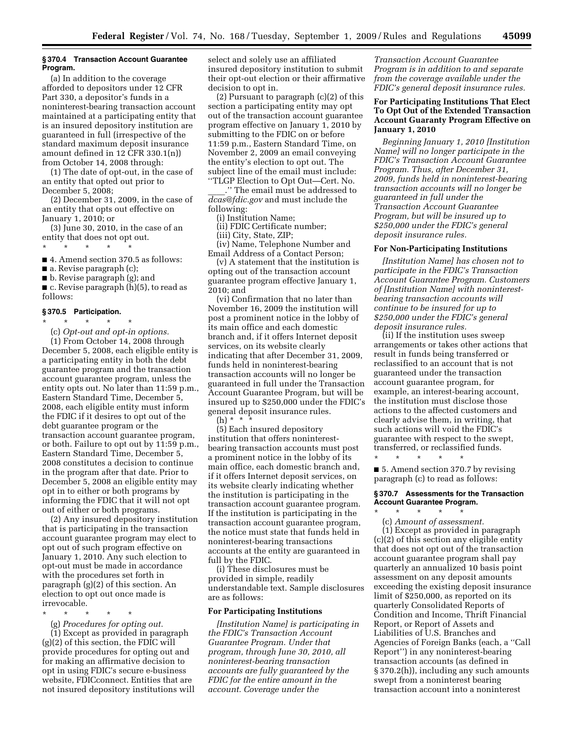# **§ 370.4 Transaction Account Guarantee Program.**

(a) In addition to the coverage afforded to depositors under 12 CFR Part 330, a depositor's funds in a noninterest-bearing transaction account maintained at a participating entity that is an insured depository institution are guaranteed in full (irrespective of the standard maximum deposit insurance amount defined in 12 CFR 330.1(n)) from October 14, 2008 through:

(1) The date of opt-out, in the case of an entity that opted out prior to December 5, 2008;

(2) December 31, 2009, in the case of an entity that opts out effective on January 1, 2010; or

(3) June 30, 2010, in the case of an entity that does not opt out.

\* \* \* \* \*

■ 4. Amend section 370.5 as follows:

■ a. Revise paragraph (c);

■ b. Revise paragraph (g); and

■ c. Revise paragraph (h)(5), to read as follows:

# **§ 370.5 Participation.**

\* \* \* \* \* (c) *Opt-out and opt-in options.*  (1) From October 14, 2008 through December 5, 2008, each eligible entity is a participating entity in both the debt guarantee program and the transaction account guarantee program, unless the entity opts out. No later than 11:59 p.m., Eastern Standard Time, December 5, 2008, each eligible entity must inform the FDIC if it desires to opt out of the debt guarantee program or the transaction account guarantee program, or both. Failure to opt out by 11:59 p.m., Eastern Standard Time, December 5, 2008 constitutes a decision to continue in the program after that date. Prior to December 5, 2008 an eligible entity may opt in to either or both programs by informing the FDIC that it will not opt out of either or both programs.

(2) Any insured depository institution that is participating in the transaction account guarantee program may elect to opt out of such program effective on January 1, 2010. Any such election to opt-out must be made in accordance with the procedures set forth in paragraph (g)(2) of this section. An election to opt out once made is irrevocable.

\* \* \* \* \*

(g) *Procedures for opting out.*  (1) Except as provided in paragraph (g)(2) of this section, the FDIC will provide procedures for opting out and for making an affirmative decision to opt in using FDIC's secure e-business website, FDICconnect. Entities that are not insured depository institutions will select and solely use an affiliated insured depository institution to submit their opt-out election or their affirmative decision to opt in.

(2) Pursuant to paragraph (c)(2) of this section a participating entity may opt out of the transaction account guarantee program effective on January 1, 2010 by submitting to the FDIC on or before 11:59 p.m., Eastern Standard Time, on November 2, 2009 an email conveying the entity's election to opt out. The subject line of the email must include: ''TLGP Election to Opt Out—Cert. No.

\_\_\_\_.'' The email must be addressed to *dcas@fdic.gov* and must include the following:

(i) Institution Name;

(ii) FDIC Certificate number;

(iii) City, State, ZIP;

(iv) Name, Telephone Number and Email Address of a Contact Person;

(v) A statement that the institution is opting out of the transaction account guarantee program effective January 1, 2010; and

(vi) Confirmation that no later than November 16, 2009 the institution will post a prominent notice in the lobby of its main office and each domestic branch and, if it offers Internet deposit services, on its website clearly indicating that after December 31, 2009, funds held in noninterest-bearing transaction accounts will no longer be guaranteed in full under the Transaction Account Guarantee Program, but will be insured up to \$250,000 under the FDIC's general deposit insurance rules.  $(h)$  \*

(5) Each insured depository institution that offers noninterestbearing transaction accounts must post a prominent notice in the lobby of its main office, each domestic branch and, if it offers Internet deposit services, on its website clearly indicating whether the institution is participating in the transaction account guarantee program. If the institution is participating in the transaction account guarantee program, the notice must state that funds held in noninterest-bearing transactions accounts at the entity are guaranteed in full by the FDIC.

(i) These disclosures must be provided in simple, readily understandable text. Sample disclosures are as follows:

# **For Participating Institutions**

*[Institution Name] is participating in the FDIC's Transaction Account Guarantee Program. Under that program, through June 30, 2010, all noninterest-bearing transaction accounts are fully guaranteed by the FDIC for the entire amount in the account. Coverage under the* 

*Transaction Account Guarantee Program is in addition to and separate from the coverage available under the FDIC's general deposit insurance rules.* 

# **For Participating Institutions That Elect To Opt Out of the Extended Transaction Account Guaranty Program Effective on January 1, 2010**

*Beginning January 1, 2010 [Institution Name] will no longer participate in the FDIC's Transaction Account Guarantee Program. Thus, after December 31, 2009, funds held in noninterest-bearing transaction accounts will no longer be guaranteed in full under the Transaction Account Guarantee Program, but will be insured up to \$250,000 under the FDIC's general deposit insurance rules.* 

#### **For Non-Participating Institutions**

*[Institution Name] has chosen not to participate in the FDIC's Transaction Account Guarantee Program. Customers of [Institution Name] with noninterestbearing transaction accounts will continue to be insured for up to \$250,000 under the FDIC's general deposit insurance rules.* 

(ii) If the institution uses sweep arrangements or takes other actions that result in funds being transferred or reclassified to an account that is not guaranteed under the transaction account guarantee program, for example, an interest-bearing account, the institution must disclose those actions to the affected customers and clearly advise them, in writing, that such actions will void the FDIC's guarantee with respect to the swept, transferred, or reclassified funds.

■ 5. Amend section 370.7 by revising paragraph (c) to read as follows:

\* \* \* \* \*

\* \* \* \* \*

# **§ 370.7 Assessments for the Transaction Account Guarantee Program.**

(c) *Amount of assessment.*  (1) Except as provided in paragraph (c)(2) of this section any eligible entity that does not opt out of the transaction account guarantee program shall pay quarterly an annualized 10 basis point assessment on any deposit amounts exceeding the existing deposit insurance limit of \$250,000, as reported on its quarterly Consolidated Reports of Condition and Income, Thrift Financial Report, or Report of Assets and Liabilities of U.S. Branches and Agencies of Foreign Banks (each, a ''Call Report'') in any noninterest-bearing transaction accounts (as defined in § 370.2(h)), including any such amounts swept from a noninterest bearing transaction account into a noninterest